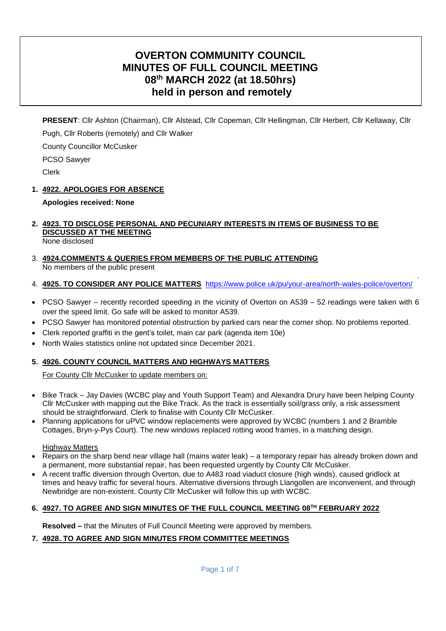# **OVERTON COMMUNITY COUNCIL MINUTES OF FULL COUNCIL MEETING 08th MARCH 2022 (at 18.50hrs) held in person and remotely**

**PRESENT**: Cllr Ashton (Chairman), Cllr Alstead, Cllr Copeman, Cllr Hellingman, Cllr Herbert, Cllr Kellaway, Cllr Pugh, Cllr Roberts (remotely) and Cllr Walker

County Councillor McCusker

PCSO Sawyer

Clerk

### **1. 4922. APOLOGIES FOR ABSENCE**

### **Apologies received: None**

#### **2. 4923. TO DISCLOSE PERSONAL AND PECUNIARY INTERESTS IN ITEMS OF BUSINESS TO BE DISCUSSED AT THE MEETING** None disclosed

- 3. **4924.COMMENTS & QUERIES FROM MEMBERS OF THE PUBLIC ATTENDING**  No members of the public present
- 4. **4925. TO CONSIDER ANY POLICE MATTERS** <https://www.police.uk/pu/your-area/north-wales-police/overton/>

.

- PCSO Sawyer recently recorded speeding in the vicinity of Overton on A539 52 readings were taken with 6 over the speed limit. Go safe will be asked to monitor A539.
- PCSO Sawyer has monitored potential obstruction by parked cars near the corner shop. No problems reported.
- Clerk reported graffiti in the gent's toilet, main car park (agenda item 10e)
- North Wales statistics online not updated since December 2021.

### **5. 4926. COUNTY COUNCIL MATTERS AND HIGHWAYS MATTERS**

For County Cllr McCusker to update members on:

- Bike Track Jay Davies (WCBC play and Youth Support Team) and Alexandra Drury have been helping County Cllr McCusker with mapping out the Bike Track. As the track is essentially soil/grass only, a risk assessment should be straightforward. Clerk to finalise with County Cllr McCusker.
- Planning applications for uPVC window replacements were approved by WCBC (numbers 1 and 2 Bramble Cottages, Bryn-y-Pys Court). The new windows replaced rotting wood frames, in a matching design.

#### Highway Matters

- Repairs on the sharp bend near village hall (mains water leak) a temporary repair has already broken down and a permanent, more substantial repair, has been requested urgently by County Cllr McCusker.
- A recent traffic diversion through Overton, due to A483 road viaduct closure (high winds), caused gridlock at times and heavy traffic for several hours. Alternative diversions through Llangollen are inconvenient, and through Newbridge are non-existent. County Cllr McCusker will follow this up with WCBC.

### **6. 4927. TO AGREE AND SIGN MINUTES OF THE FULL COUNCIL MEETING 08TH FEBRUARY 2022**

**Resolved –** that the Minutes of Full Council Meeting were approved by members.

### **7. 4928. TO AGREE AND SIGN MINUTES FROM COMMITTEE MEETINGS**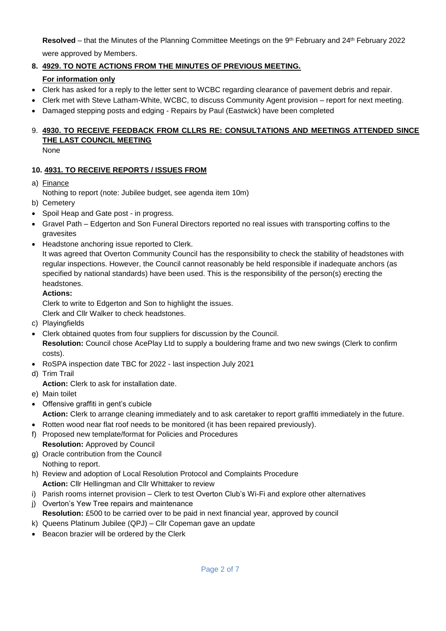**Resolved** – that the Minutes of the Planning Committee Meetings on the 9th February and 24th February 2022 were approved by Members.

# **8. 4929. TO NOTE ACTIONS FROM THE MINUTES OF PREVIOUS MEETING.**

# **For information only**

- Clerk has asked for a reply to the letter sent to WCBC regarding clearance of pavement debris and repair.
- Clerk met with Steve Latham-White, WCBC, to discuss Community Agent provision report for next meeting.
- Damaged stepping posts and edging Repairs by Paul (Eastwick) have been completed

# 9. **4930. TO RECEIVE FEEDBACK FROM CLLRS RE: CONSULTATIONS AND MEETINGS ATTENDED SINCE THE LAST COUNCIL MEETING**

None

# **10. 4931. TO RECEIVE REPORTS / ISSUES FROM**

a) Finance

Nothing to report (note: Jubilee budget, see agenda item 10m)

- b) Cemetery
- Spoil Heap and Gate post in progress.
- Gravel Path Edgerton and Son Funeral Directors reported no real issues with transporting coffins to the gravesites
- Headstone anchoring issue reported to Clerk.

It was agreed that Overton Community Council has the responsibility to check the stability of headstones with regular inspections. However, the Council cannot reasonably be held responsible if inadequate anchors (as specified by national standards) have been used. This is the responsibility of the person(s) erecting the headstones.

## **Actions:**

Clerk to write to Edgerton and Son to highlight the issues.

- Clerk and Cllr Walker to check headstones.
- c) Playingfields
- Clerk obtained quotes from four suppliers for discussion by the Council. **Resolution:** Council chose AcePlay Ltd to supply a bouldering frame and two new swings (Clerk to confirm costs).
- RoSPA inspection date TBC for 2022 last inspection July 2021
- d) Trim Trail

**Action:** Clerk to ask for installation date.

- e) Main toilet
- Offensive graffiti in gent's cubicle **Action:** Clerk to arrange cleaning immediately and to ask caretaker to report graffiti immediately in the future.
- Rotten wood near flat roof needs to be monitored (it has been repaired previously).
- f) Proposed new template/format for Policies and Procedures **Resolution:** Approved by Council
- g) Oracle contribution from the Council Nothing to report.
- h) Review and adoption of Local Resolution Protocol and Complaints Procedure **Action:** Cllr Hellingman and Cllr Whittaker to review
- i) Parish rooms internet provision Clerk to test Overton Club's Wi-Fi and explore other alternatives
- j) Overton's Yew Tree repairs and maintenance
	- **Resolution:** £500 to be carried over to be paid in next financial year, approved by council
- k) Queens Platinum Jubilee (QPJ) Cllr Copeman gave an update
- Beacon brazier will be ordered by the Clerk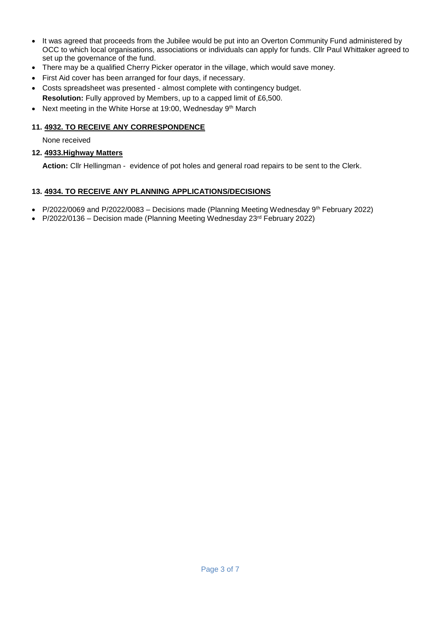- It was agreed that proceeds from the Jubilee would be put into an Overton Community Fund administered by OCC to which local organisations, associations or individuals can apply for funds. Cllr Paul Whittaker agreed to set up the governance of the fund.
- There may be a qualified Cherry Picker operator in the village, which would save money.
- First Aid cover has been arranged for four days, if necessary.
- Costs spreadsheet was presented almost complete with contingency budget. **Resolution:** Fully approved by Members, up to a capped limit of £6,500.
- Next meeting in the White Horse at 19:00, Wednesday 9<sup>th</sup> March

### **11. 4932. TO RECEIVE ANY CORRESPONDENCE**

None received

### **12. 4933.Highway Matters**

**Action:** Cllr Hellingman - evidence of pot holes and general road repairs to be sent to the Clerk.

### **13. 4934. TO RECEIVE ANY PLANNING APPLICATIONS/DECISIONS**

- P/2022/0069 and P/2022/0083 Decisions made (Planning Meeting Wednesday 9<sup>th</sup> February 2022)
- $P/2022/0136$  Decision made (Planning Meeting Wednesday  $23<sup>rd</sup>$  February 2022)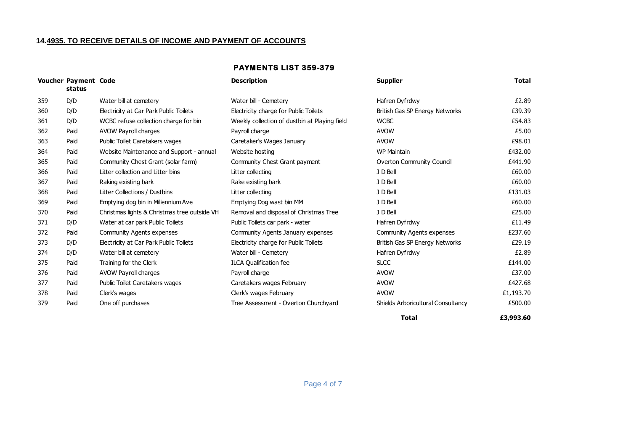#### **14.4935. TO RECEIVE DETAILS OF INCOME AND PAYMENT OF ACCOUNTS**

#### **PAYMENTS LIST 359-379**

|     | <b>Voucher Payment Code</b><br>status |                                              | <b>Description</b>                            | <b>Supplier</b>                    | Total     |
|-----|---------------------------------------|----------------------------------------------|-----------------------------------------------|------------------------------------|-----------|
| 359 | D/D                                   | Water bill at cemetery                       | Water bill - Cemetery                         | Hafren Dyfrdwy                     | £2.89     |
| 360 | D/D                                   | Electricity at Car Park Public Toilets       | Electricity charge for Public Toilets         | British Gas SP Energy Networks     | £39.39    |
| 361 | D/D                                   | WCBC refuse collection charge for bin        | Weekly collection of dustbin at Playing field | <b>WCBC</b>                        | £54.83    |
| 362 | Paid                                  | <b>AVOW Payroll charges</b>                  | Payroll charge                                | <b>AVOW</b>                        | £5.00     |
| 363 | Paid                                  | <b>Public Toilet Caretakers wages</b>        | Caretaker's Wages January                     | <b>AVOW</b>                        | £98.01    |
| 364 | Paid                                  | Website Maintenance and Support - annual     | Website hosting                               | <b>WP Maintain</b>                 | £432.00   |
| 365 | Paid                                  | Community Chest Grant (solar farm)           | Community Chest Grant payment                 | <b>Overton Community Council</b>   | £441.90   |
| 366 | Paid                                  | Litter collection and Litter bins            | Litter collecting                             | J D Bell                           | £60.00    |
| 367 | Paid                                  | Raking existing bark                         | Rake existing bark                            | J D Bell                           | £60.00    |
| 368 | Paid                                  | Litter Collections / Dustbins                | Litter collecting                             | J D Bell                           | £131.03   |
| 369 | Paid                                  | Emptying dog bin in Millennium Ave           | Emptying Dog wast bin MM                      | J D Bell                           | £60.00    |
| 370 | Paid                                  | Christmas lights & Christmas tree outside VH | Removal and disposal of Christmas Tree        | J D Bell                           | £25.00    |
| 371 | D/D                                   | Water at car park Public Toilets             | Public Toilets car park - water               | Hafren Dyfrdwy                     | £11.49    |
| 372 | Paid                                  | Community Agents expenses                    | Community Agents January expenses             | Community Agents expenses          | £237.60   |
| 373 | D/D                                   | Electricity at Car Park Public Toilets       | Electricity charge for Public Toilets         | British Gas SP Energy Networks     | £29.19    |
| 374 | D/D                                   | Water bill at cemetery                       | Water bill - Cemetery                         | Hafren Dyfrdwy                     | £2.89     |
| 375 | Paid                                  | Training for the Clerk                       | <b>ILCA Qualification fee</b>                 | <b>SLCC</b>                        | £144.00   |
| 376 | Paid                                  | AVOW Payroll charges                         | Payroll charge                                | <b>AVOW</b>                        | £37.00    |
| 377 | Paid                                  | Public Toilet Caretakers wages               | Caretakers wages February                     | <b>AVOW</b>                        | £427.68   |
| 378 | Paid                                  | Clerk's wages                                | Clerk's wages February                        | <b>AVOW</b>                        | £1,193.70 |
| 379 | Paid                                  | One off purchases                            | Tree Assessment - Overton Churchyard          | Shields Arboricultural Consultancy | £500.00   |
|     |                                       |                                              |                                               |                                    |           |

**Total**

**£3,993.60**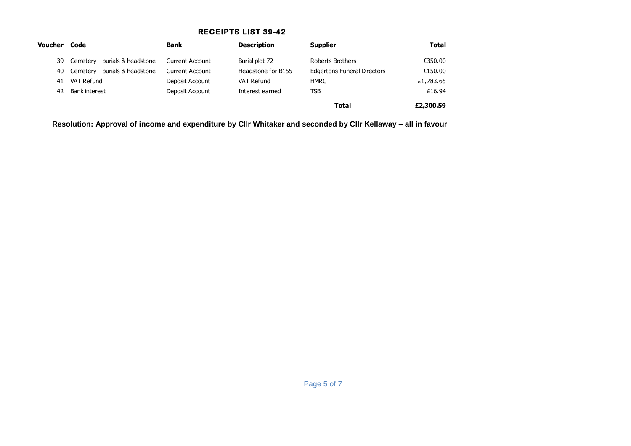## **RECEIPTS LIST 39-42**

| Voucher Code |                                   | <b>Bank</b>            | <b>Description</b> | <b>Supplier</b>                    | <b>Total</b> |
|--------------|-----------------------------------|------------------------|--------------------|------------------------------------|--------------|
|              | 39 Cemetery - burials & headstone | <b>Current Account</b> | Burial plot 72     | Roberts Brothers                   | £350.00      |
|              | 40 Cemetery - burials & headstone | <b>Current Account</b> | Headstone for B155 | <b>Edgertons Funeral Directors</b> | £150.00      |
| 41           | VAT Refund                        | Deposit Account        | VAT Refund         | <b>HMRC</b>                        | £1,783.65    |
| 42           | Bank interest                     | Deposit Account        | Interest earned    | TSB                                | £16.94       |
|              |                                   |                        |                    | <b>Total</b>                       | £2,300.59    |

**Resolution: Approval of income and expenditure by Cllr Whitaker and seconded by Cllr Kellaway – all in favour**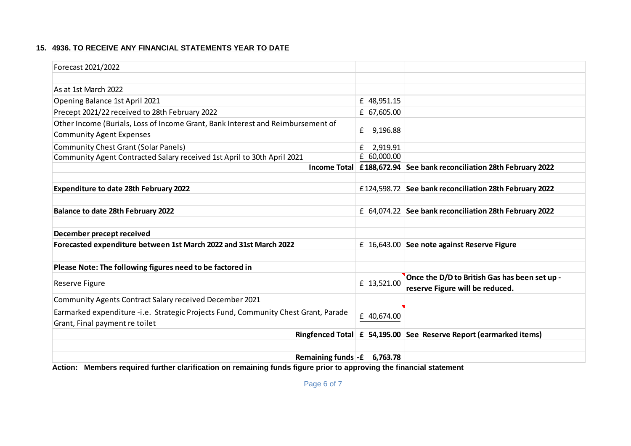### **15. 4936. TO RECEIVE ANY FINANCIAL STATEMENTS YEAR TO DATE**

| Forecast 2021/2022                                                                 |               |                                                                     |
|------------------------------------------------------------------------------------|---------------|---------------------------------------------------------------------|
|                                                                                    |               |                                                                     |
| As at 1st March 2022                                                               |               |                                                                     |
| Opening Balance 1st April 2021                                                     | £ 48,951.15   |                                                                     |
| Precept 2021/22 received to 28th February 2022                                     | £ 67,605.00   |                                                                     |
| Other Income (Burials, Loss of Income Grant, Bank Interest and Reimbursement of    |               |                                                                     |
| <b>Community Agent Expenses</b>                                                    | £<br>9,196.88 |                                                                     |
| <b>Community Chest Grant (Solar Panels)</b>                                        | 2,919.91<br>£ |                                                                     |
| Community Agent Contracted Salary received 1st April to 30th April 2021            | $E$ 60,000.00 |                                                                     |
|                                                                                    |               | Income Total £188,672.94 See bank reconciliation 28th February 2022 |
|                                                                                    |               |                                                                     |
| <b>Expenditure to date 28th February 2022</b>                                      |               | £124,598.72 See bank reconciliation 28th February 2022              |
|                                                                                    |               |                                                                     |
| <b>Balance to date 28th February 2022</b>                                          |               | £ 64,074.22 See bank reconciliation 28th February 2022              |
|                                                                                    |               |                                                                     |
| December precept received                                                          |               |                                                                     |
| Forecasted expenditure between 1st March 2022 and 31st March 2022                  |               | £ 16,643.00 See note against Reserve Figure                         |
|                                                                                    |               |                                                                     |
| Please Note: The following figures need to be factored in                          |               |                                                                     |
|                                                                                    | £ 13,521.00   | Once the D/D to British Gas has been set up -                       |
| Reserve Figure                                                                     |               | reserve Figure will be reduced.                                     |
| Community Agents Contract Salary received December 2021                            |               |                                                                     |
| Earmarked expenditure -i.e. Strategic Projects Fund, Community Chest Grant, Parade | £ 40,674.00   |                                                                     |
| Grant, Final payment re toilet                                                     |               |                                                                     |
|                                                                                    |               | Ringfenced Total £ 54,195.00 See Reserve Report (earmarked items)   |
|                                                                                    |               |                                                                     |
| Remaining funds $-$ £ 6,763.78                                                     |               |                                                                     |

**Action: Members required further clarification on remaining funds figure prior to approving the financial statement**

Page 6 of 7